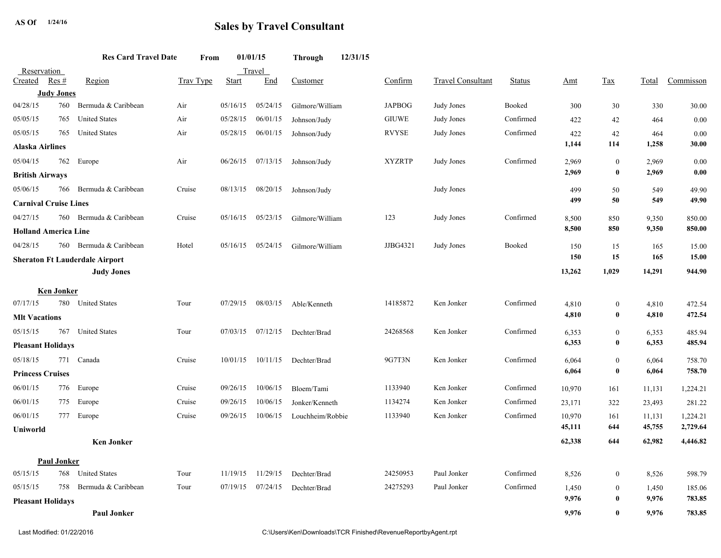## AS Of  $\frac{1}{24/16}$  **Sales by Travel Consultant**

|                                                |                    | <b>Res Card Travel Date</b> | From      |          | 01/01/15 | Through                 | 12/31/15 |               |                          |               |                |                      |                |                  |
|------------------------------------------------|--------------------|-----------------------------|-----------|----------|----------|-------------------------|----------|---------------|--------------------------|---------------|----------------|----------------------|----------------|------------------|
| Reservation                                    |                    |                             |           |          | Travel   |                         |          |               |                          |               |                |                      |                |                  |
| Created                                        | Res#               | Region                      | Trav Type | Start    | End      | Customer                |          | Confirm       | <b>Travel Consultant</b> | <b>Status</b> | <u>Amt</u>     | Tax                  | Total          | Commisson        |
| <b>Judy Jones</b>                              |                    |                             |           |          |          |                         |          |               |                          |               |                |                      |                |                  |
| 04/28/15                                       | 760                | Bermuda & Caribbean         | Air       | 05/16/15 | 05/24/15 | Gilmore/William         |          | <b>JAPBOG</b> | Judy Jones               | Booked        | 300            | 30                   | 330            | 30.00            |
| 05/05/15                                       | 765                | <b>United States</b>        | Air       | 05/28/15 | 06/01/15 | Johnson/Judy            |          | <b>GIUWE</b>  | Judy Jones               | Confirmed     | 422            | 42                   | 464            | 0.00             |
| 05/05/15                                       | 765                | <b>United States</b>        | Air       | 05/28/15 | 06/01/15 | Johnson/Judy            |          | <b>RVYSE</b>  | Judy Jones               | Confirmed     | 422<br>1,144   | 42<br>114            | 464<br>1,258   | 0.00<br>30.00    |
| Alaska Airlines                                |                    |                             |           |          |          |                         |          |               |                          |               |                |                      |                |                  |
| 05/04/15                                       | 762                | Europe                      | Air       | 06/26/15 |          | $07/13/15$ Johnson/Judy |          | <b>XYZRTP</b> | Judy Jones               | Confirmed     | 2,969          | $\mathbf{0}$         | 2,969          | 0.00             |
| <b>British Airways</b>                         |                    |                             |           |          |          |                         |          |               |                          |               | 2,969          | $\bf{0}$             | 2,969          | 0.00             |
| 05/06/15                                       | 766                | Bermuda & Caribbean         | Cruise    | 08/13/15 | 08/20/15 | Johnson/Judy            |          |               | Judy Jones               |               | 499            | 50                   | 549            | 49.90            |
| <b>Carnival Cruise Lines</b>                   |                    |                             |           |          |          |                         |          |               |                          |               | 499            | 50                   | 549            | 49.90            |
| 04/27/15                                       |                    | 760 Bermuda & Caribbean     | Cruise    | 05/16/15 | 05/23/15 | Gilmore/William         |          | 123           | Judy Jones               | Confirmed     | 8,500          | 850                  | 9,350          | 850.00           |
| <b>Holland America Line</b>                    |                    |                             |           |          |          |                         |          |               |                          | 8,500         | 850            | 9,350                | 850.00         |                  |
| 04/28/15                                       |                    | 760 Bermuda & Caribbean     | Hotel     | 05/16/15 | 05/24/15 | Gilmore/William         |          | JJBG4321      | Judy Jones               | Booked        | 150            | 15                   | 165            | 15.00            |
| <b>Sheraton Ft Lauderdale Airport</b>          |                    |                             |           |          |          |                         |          |               |                          | 150           | 15             | 165                  | 15.00          |                  |
|                                                |                    | <b>Judy Jones</b>           |           |          |          |                         |          |               |                          |               | 13,262         | 1,029                | 14,291         | 944.90           |
|                                                | <b>Ken Jonker</b>  |                             |           |          |          |                         |          |               |                          |               |                |                      |                |                  |
| 07/17/15                                       |                    | 780 United States           | Tour      | 07/29/15 | 08/03/15 | Able/Kenneth            |          | 14185872      | Ken Jonker               | Confirmed     | 4,810          | $\boldsymbol{0}$     | 4,810          | 472.54           |
| <b>MIt Vacations</b>                           |                    |                             |           |          |          |                         |          |               |                          |               | 4,810          | $\bf{0}$             | 4,810          | 472.54           |
| 05/15/15                                       |                    | 767 United States           | Tour      | 07/03/15 | 07/12/15 | Dechter/Brad            |          | 24268568      | Ken Jonker               | Confirmed     | 6,353          | $\mathbf{0}$         | 6,353          | 485.94           |
| <b>Pleasant Holidays</b>                       |                    |                             |           |          |          |                         |          |               |                          | 6,353         | $\bf{0}$       | 6,353                | 485.94         |                  |
| 05/18/15                                       |                    | 771 Canada                  | Cruise    | 10/01/15 | 10/11/15 | Dechter/Brad            |          | 9G7T3N        | Ken Jonker               | Confirmed     | 6,064          | $\mathbf{0}$         | 6,064          | 758.70           |
| <b>Princess Cruises</b>                        |                    |                             |           |          |          |                         |          |               |                          |               | 6,064          | $\bf{0}$             | 6,064          | 758.70           |
| 06/01/15                                       |                    | 776 Europe                  | Cruise    | 09/26/15 | 10/06/15 | Bloem/Tami              |          | 1133940       | Ken Jonker               | Confirmed     | 10,970         | 161                  | 11,131         | 1,224.21         |
| 06/01/15                                       |                    | 775 Europe                  | Cruise    | 09/26/15 | 10/06/15 | Jonker/Kenneth          |          | 1134274       | Ken Jonker               | Confirmed     | 23,171         | 322                  | 23,493         | 281.22           |
| 06/01/15                                       | 777                | Europe                      | Cruise    | 09/26/15 | 10/06/15 | Louchheim/Robbie        |          | 1133940       | Ken Jonker               | Confirmed     | 10,970         | 161                  | 11,131         | 1,224.21         |
| Uniworld                                       |                    |                             |           |          |          |                         |          |               |                          |               | 45,111         | 644                  | 45,755         | 2,729.64         |
|                                                |                    | <b>Ken Jonker</b>           |           |          |          |                         |          |               |                          |               | 62,338         | 644                  | 62,982         | 4,446.82         |
|                                                |                    |                             |           |          |          |                         |          |               |                          |               |                |                      |                |                  |
| 05/15/15                                       | <b>Paul Jonker</b> | 768 United States           | Tour      | 11/19/15 | 11/29/15 |                         |          | 24250953      | Paul Jonker              | Confirmed     |                |                      |                |                  |
| 05/15/15                                       | 758                | Bermuda & Caribbean         | Tour      | 07/19/15 | 07/24/15 | Dechter/Brad            |          | 24275293      | Paul Jonker              | Confirmed     | 8,526          | $\bf{0}$             | 8,526          | 598.79           |
|                                                |                    |                             |           |          |          | Dechter/Brad            |          |               |                          |               | 1,450<br>9,976 | $\bf{0}$<br>$\bf{0}$ | 1,450<br>9,976 | 185.06<br>783.85 |
| <b>Pleasant Holidays</b><br><b>Paul Jonker</b> |                    |                             |           |          |          |                         |          |               |                          | 9,976         | $\mathbf{0}$   | 9.976                | 783.85         |                  |
|                                                |                    |                             |           |          |          |                         |          |               |                          |               |                |                      |                |                  |